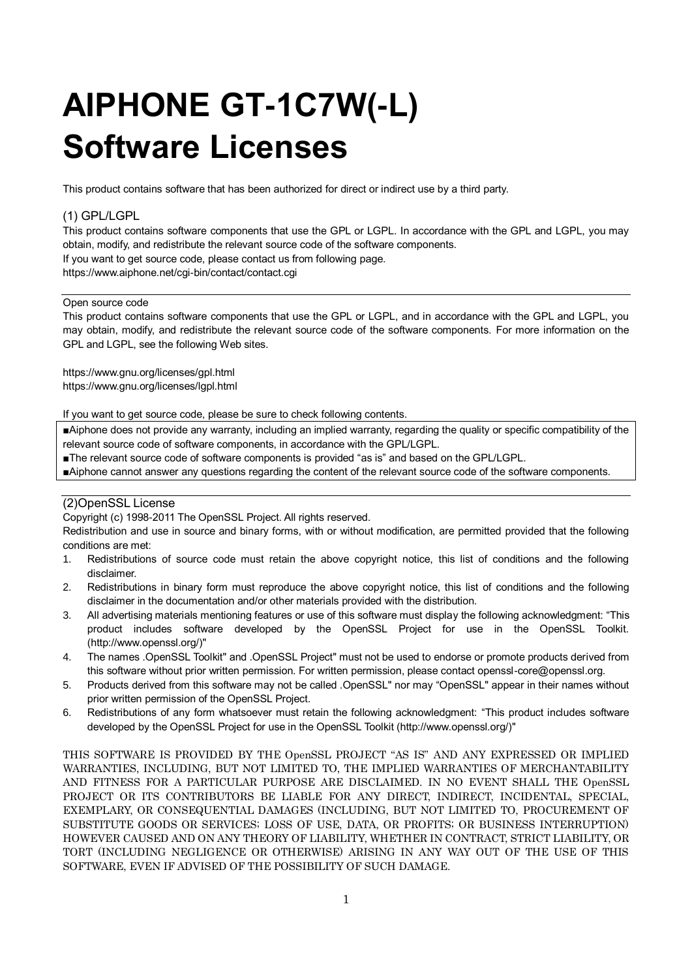# **AIPHONE GT-1C7W(-L) Software Licenses**

This product contains software that has been authorized for direct or indirect use by a third party.

# (1) GPL/LGPL

This product contains software components that use the GPL or LGPL. In accordance with the GPL and LGPL, you may obtain, modify, and redistribute the relevant source code of the software components.

If you want to get source code, please contact us from following page.

https://www.aiphone.net/cgi-bin/contact/contact.cgi

#### Open source code

This product contains software components that use the GPL or LGPL, and in accordance with the GPL and LGPL, you may obtain, modify, and redistribute the relevant source code of the software components. For more information on the GPL and LGPL, see the following Web sites.

https://www.gnu.org/licenses/gpl.html https://www.gnu.org/licenses/lgpl.html

If you want to get source code, please be sure to check following contents.

■Aiphone does not provide any warranty, including an implied warranty, regarding the quality or specific compatibility of the relevant source code of software components, in accordance with the GPL/LGPL.

■The relevant source code of software components is provided "as is" and based on the GPL/LGPL.

■Aiphone cannot answer any questions regarding the content of the relevant source code of the software components.

# (2)OpenSSL License

Copyright (c) 1998-2011 The OpenSSL Project. All rights reserved.

Redistribution and use in source and binary forms, with or without modification, are permitted provided that the following conditions are met:

- 1. Redistributions of source code must retain the above copyright notice, this list of conditions and the following disclaimer.
- 2. Redistributions in binary form must reproduce the above copyright notice, this list of conditions and the following disclaimer in the documentation and/or other materials provided with the distribution.
- 3. All advertising materials mentioning features or use of this software must display the following acknowledgment: "This product includes software developed by the OpenSSL Project for use in the OpenSSL Toolkit. (http://www.openssl.org/)"
- 4. The names .OpenSSL Toolkit" and .OpenSSL Project" must not be used to endorse or promote products derived from this software without prior written permission. For written permission, please contact openssl-core@openssl.org.
- 5. Products derived from this software may not be called .OpenSSL" nor may "OpenSSL" appear in their names without prior written permission of the OpenSSL Project.
- 6. Redistributions of any form whatsoever must retain the following acknowledgment: "This product includes software developed by the OpenSSL Project for use in the OpenSSL Toolkit (http://www.openssl.org/)"

THIS SOFTWARE IS PROVIDED BY THE OpenSSL PROJECT "AS IS" AND ANY EXPRESSED OR IMPLIED WARRANTIES, INCLUDING, BUT NOT LIMITED TO, THE IMPLIED WARRANTIES OF MERCHANTABILITY AND FITNESS FOR A PARTICULAR PURPOSE ARE DISCLAIMED. IN NO EVENT SHALL THE OpenSSL PROJECT OR ITS CONTRIBUTORS BE LIABLE FOR ANY DIRECT, INDIRECT, INCIDENTAL, SPECIAL, EXEMPLARY, OR CONSEQUENTIAL DAMAGES (INCLUDING, BUT NOT LIMITED TO, PROCUREMENT OF SUBSTITUTE GOODS OR SERVICES; LOSS OF USE, DATA, OR PROFITS; OR BUSINESS INTERRUPTION) HOWEVER CAUSED AND ON ANY THEORY OF LIABILITY, WHETHER IN CONTRACT, STRICT LIABILITY, OR TORT (INCLUDING NEGLIGENCE OR OTHERWISE) ARISING IN ANY WAY OUT OF THE USE OF THIS SOFTWARE, EVEN IF ADVISED OF THE POSSIBILITY OF SUCH DAMAGE.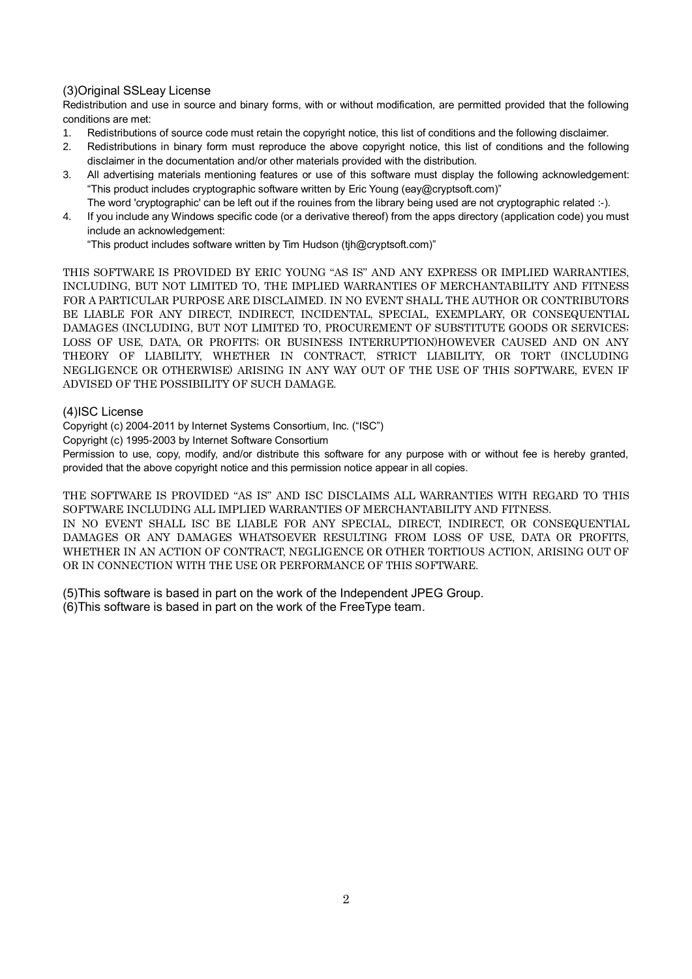# (3)Original SSLeay License

Redistribution and use in source and binary forms, with or without modification, are permitted provided that the following conditions are met:

- 1. Redistributions of source code must retain the copyright notice, this list of conditions and the following disclaimer.
- 2. Redistributions in binary form must reproduce the above copyright notice, this list of conditions and the following disclaimer in the documentation and/or other materials provided with the distribution.
- 3. All advertising materials mentioning features or use of this software must display the following acknowledgement: "This product includes cryptographic software written by Eric Young (eay@cryptsoft.com)"
- The word 'cryptographic' can be left out if the rouines from the library being used are not cryptographic related :-).
- 4. If you include any Windows specific code (or a derivative thereof) from the apps directory (application code) you must include an acknowledgement:

"This product includes software written by Tim Hudson (tjh@cryptsoft.com)"

THIS SOFTWARE IS PROVIDED BY ERIC YOUNG "AS IS" AND ANY EXPRESS OR IMPLIED WARRANTIES, INCLUDING, BUT NOT LIMITED TO, THE IMPLIED WARRANTIES OF MERCHANTABILITY AND FITNESS FOR A PARTICULAR PURPOSE ARE DISCLAIMED. IN NO EVENT SHALL THE AUTHOR OR CONTRIBUTORS BE LIABLE FOR ANY DIRECT, INDIRECT, INCIDENTAL, SPECIAL, EXEMPLARY, OR CONSEQUENTIAL DAMAGES (INCLUDING, BUT NOT LIMITED TO, PROCUREMENT OF SUBSTITUTE GOODS OR SERVICES; LOSS OF USE, DATA, OR PROFITS; OR BUSINESS INTERRUPTION)HOWEVER CAUSED AND ON ANY THEORY OF LIABILITY, WHETHER IN CONTRACT, STRICT LIABILITY, OR TORT (INCLUDING NEGLIGENCE OR OTHERWISE) ARISING IN ANY WAY OUT OF THE USE OF THIS SOFTWARE, EVEN IF ADVISED OF THE POSSIBILITY OF SUCH DAMAGE.

## (4)ISC License

Copyright (c) 2004-2011 by Internet Systems Consortium, Inc. ("ISC")

Copyright (c) 1995-2003 by Internet Software Consortium

Permission to use, copy, modify, and/or distribute this software for any purpose with or without fee is hereby granted, provided that the above copyright notice and this permission notice appear in all copies.

THE SOFTWARE IS PROVIDED "AS IS" AND ISC DISCLAIMS ALL WARRANTIES WITH REGARD TO THIS SOFTWARE INCLUDING ALL IMPLIED WARRANTIES OF MERCHANTABILITY AND FITNESS. IN NO EVENT SHALL ISC BE LIABLE FOR ANY SPECIAL, DIRECT, INDIRECT, OR CONSEQUENTIAL DAMAGES OR ANY DAMAGES WHATSOEVER RESULTING FROM LOSS OF USE, DATA OR PROFITS, WHETHER IN AN ACTION OF CONTRACT, NEGLIGENCE OR OTHER TORTIOUS ACTION, ARISING OUT OF OR IN CONNECTION WITH THE USE OR PERFORMANCE OF THIS SOFTWARE.

(5)This software is based in part on the work of the Independent JPEG Group.

(6)This software is based in part on the work of the FreeType team.